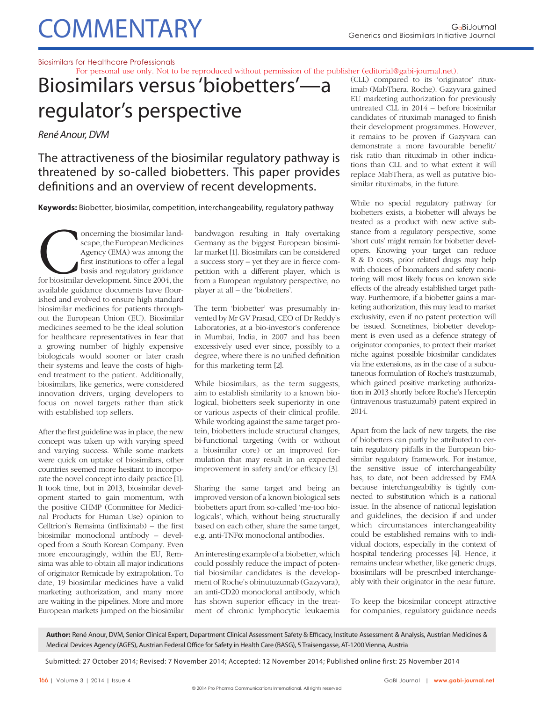## **COMMENTARY**

### Biosimilars for Healthcare Professionals

For personal use only. Not to be reproduced without permission of the publisher (editorial@gabi-journal.net).

Biosimilars versus 'biobetters'—a regulator's perspective

René Anour, DVM

The attractiveness of the biosimilar regulatory pathway is threatened by so-called biobetters. This paper provides definitions and an overview of recent developments.

**Keywords:** Biobetter, biosimilar, competition, interchangeability, regulatory pathway

oncerning the biosimilar land-<br>
scape, the European Medicines<br>
Agency (EMA) was among the<br>
first institutions to offer a legal<br>
basis and regulatory guidance<br>
for biosimilar development. Since 2004, the<br>
available guidance scape, the European Medicines Agency (EMA) was among the first institutions to offer a legal basis and regulatory guidance available guidance documents have flourished and evolved to ensure high standard biosimilar medicines for patients throughout the European Union (EU). Biosimilar medicines seemed to be the ideal solution for healthcare representatives in fear that a growing number of highly expensive biologicals would sooner or later crash their systems and leave the costs of highend treatment to the patient. Additionally, biosimilars, like generics, were considered innovation drivers, urging developers to focus on novel targets rather than stick with established top sellers.

After the first guideline was in place, the new concept was taken up with varying speed and varying success. While some markets were quick on uptake of biosimilars, other countries seemed more hesitant to incorporate the novel concept into daily practice [1]. It took time, but in 2013, biosimilar development started to gain momentum, with the positive CHMP (Committee for Medicinal Products for Human Use) opinion to Celltrion's Remsima (infliximab)  $-$  the first biosimilar monoclonal antibody – developed from a South Korean Company. Even more encouragingly, within the EU, Remsima was able to obtain all major indications of originator Remicade by extrapolation. To date, 19 biosimilar medicines have a valid marketing authorization, and many more are waiting in the pipelines. More and more European markets jumped on the biosimilar bandwagon resulting in Italy overtaking Germany as the biggest European biosimilar market [1]. Biosimilars can be considered a success story  $-$  yet they are in fierce competition with a different player, which is from a European regulatory perspective, no player at all – the 'biobetters'.

The term 'biobetter' was presumably invented by Mr GV Prasad, CEO of Dr Reddy's Laboratories, at a bio-investor's conference in Mumbai, India, in 2007 and has been excessively used ever since, possibly to a degree, where there is no unified definition for this marketing term [2].

While biosimilars, as the term suggests, aim to establish similarity to a known biological, biobetters seek superiority in one or various aspects of their clinical profile. While working against the same target protein, biobetters include structural changes, bi-functional targeting (with or without a biosimilar core) or an improved formulation that may result in an expected improvement in safety and/or efficacy [3].

Sharing the same target and being an improved version of a known biological sets biobetters apart from so-called 'me-too biologicals', which, without being structurally based on each other, share the same target, e.g. anti-TNFα monoclonal antibodies.

An interesting example of a biobetter, which could possibly reduce the impact of potential biosimilar candidates is the development of Roche's obinutuzumab (Gazyvara), an anti-CD20 monoclonal antibody, which has shown superior efficacy in the treatment of chronic lymphocytic leukaemia

(CLL) compared to its 'originator' rituximab (MabThera, Roche). Gazyvara gained EU marketing authorization for previously untreated CLL in 2014 – before biosimilar candidates of rituximab managed to finish their development programmes. However, it remains to be proven if Gazyvara can demonstrate a more favourable benefit/ risk ratio than rituximab in other indications than CLL and to what extent it will replace MabThera, as well as putative biosimilar rituximabs, in the future.

While no special regulatory pathway for biobetters exists, a biobetter will always be treated as a product with new active substance from a regulatory perspective, some 'short cuts' might remain for biobetter developers. Knowing your target can reduce R & D costs, prior related drugs may help with choices of biomarkers and safety monitoring will most likely focus on known side effects of the already established target pathway. Furthermore, if a biobetter gains a marketing authorization, this may lead to market exclusivity, even if no patent protection will be issued. Sometimes, biobetter development is even used as a defence strategy of originator companies, to protect their market niche against possible biosimilar candidates via line extensions, as in the case of a subcutaneous formulation of Roche's trastuzumab, which gained positive marketing authorization in 2013 shortly before Roche's Herceptin (intravenous trastuzumab) patent expired in 2014.

Apart from the lack of new targets, the rise of biobetters can partly be attributed to certain regulatory pitfalls in the European biosimilar regulatory framework. For instance, the sensitive issue of interchangeability has, to date, not been addressed by EMA because interchangeability is tightly connected to substitution which is a national issue. In the absence of national legislation and guidelines, the decision if and under which circumstances interchangeability could be established remains with to individual doctors, especially in the context of hospital tendering processes [4]. Hence, it remains unclear whether, like generic drugs, biosimilars will be prescribed interchangeably with their originator in the near future.

To keep the biosimilar concept attractive for companies, regulatory guidance needs

Author: René Anour, DVM, Senior Clinical Expert, Department Clinical Assessment Safety & Efficacy, Institute Assessment & Analysis, Austrian Medicines & Medical Devices Agency (AGES), Austrian Federal Office for Safety in Health Care (BASG), 5 Traisengasse, AT-1200 Vienna, Austria

Submitted: 27 October 2014; Revised: 7 November 2014; Accepted: 12 November 2014; Published online first: 25 November 2014